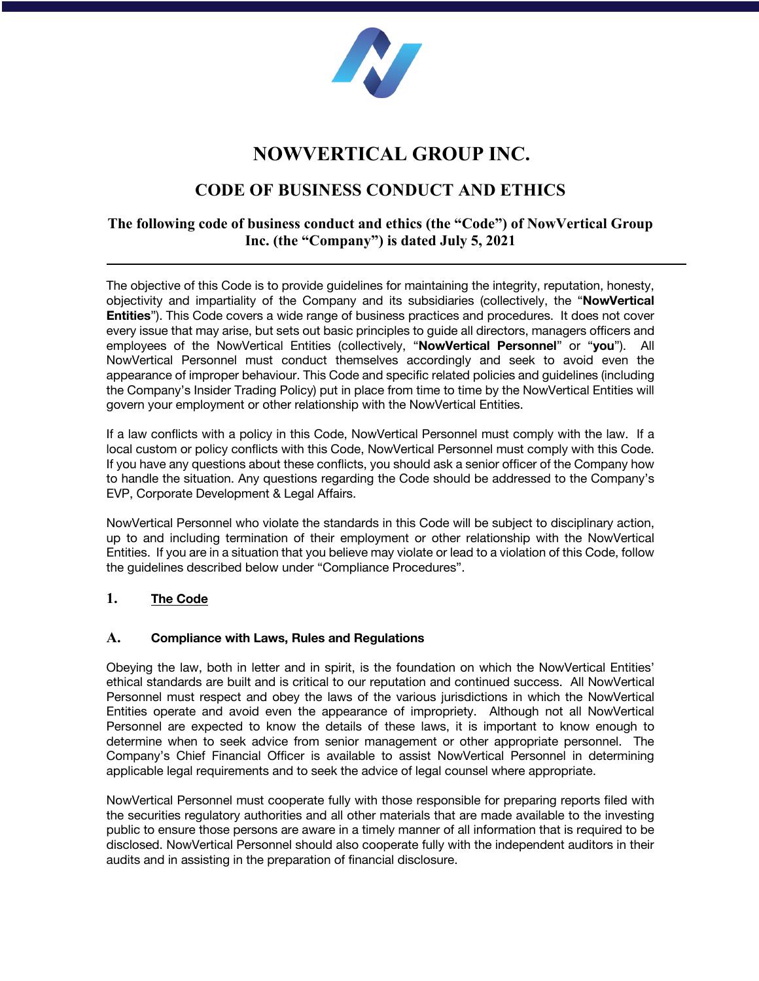

# **NOWVERTICAL GROUP INC.**

# **CODE OF BUSINESS CONDUCT AND ETHICS**

# **The following code of business conduct and ethics (the "Code") of NowVertical Group Inc. (the "Company") is dated July 5, 2021**

The objective of this Code is to provide guidelines for maintaining the integrity, reputation, honesty, objectivity and impartiality of the Company and its subsidiaries (collectively, the "**NowVertical Entities**"). This Code covers a wide range of business practices and procedures. It does not cover every issue that may arise, but sets out basic principles to guide all directors, managers officers and employees of the NowVertical Entities (collectively, "**NowVertical Personnel**" or "**you**"). All NowVertical Personnel must conduct themselves accordingly and seek to avoid even the appearance of improper behaviour. This Code and specific related policies and guidelines (including the Company's Insider Trading Policy) put in place from time to time by the NowVertical Entities will govern your employment or other relationship with the NowVertical Entities.

If a law conflicts with a policy in this Code, NowVertical Personnel must comply with the law. If a local custom or policy conflicts with this Code, NowVertical Personnel must comply with this Code. If you have any questions about these conflicts, you should ask a senior officer of the Company how to handle the situation. Any questions regarding the Code should be addressed to the Company's EVP, Corporate Development & Legal Affairs.

NowVertical Personnel who violate the standards in this Code will be subject to disciplinary action, up to and including termination of their employment or other relationship with the NowVertical Entities. If you are in a situation that you believe may violate or lead to a violation of this Code, follow the guidelines described below under "Compliance Procedures".

# **1. The Code**

#### **A. Compliance with Laws, Rules and Regulations**

Obeying the law, both in letter and in spirit, is the foundation on which the NowVertical Entities' ethical standards are built and is critical to our reputation and continued success. All NowVertical Personnel must respect and obey the laws of the various jurisdictions in which the NowVertical Entities operate and avoid even the appearance of impropriety. Although not all NowVertical Personnel are expected to know the details of these laws, it is important to know enough to determine when to seek advice from senior management or other appropriate personnel. The Company's Chief Financial Officer is available to assist NowVertical Personnel in determining applicable legal requirements and to seek the advice of legal counsel where appropriate.

NowVertical Personnel must cooperate fully with those responsible for preparing reports filed with the securities regulatory authorities and all other materials that are made available to the investing public to ensure those persons are aware in a timely manner of all information that is required to be disclosed. NowVertical Personnel should also cooperate fully with the independent auditors in their audits and in assisting in the preparation of financial disclosure.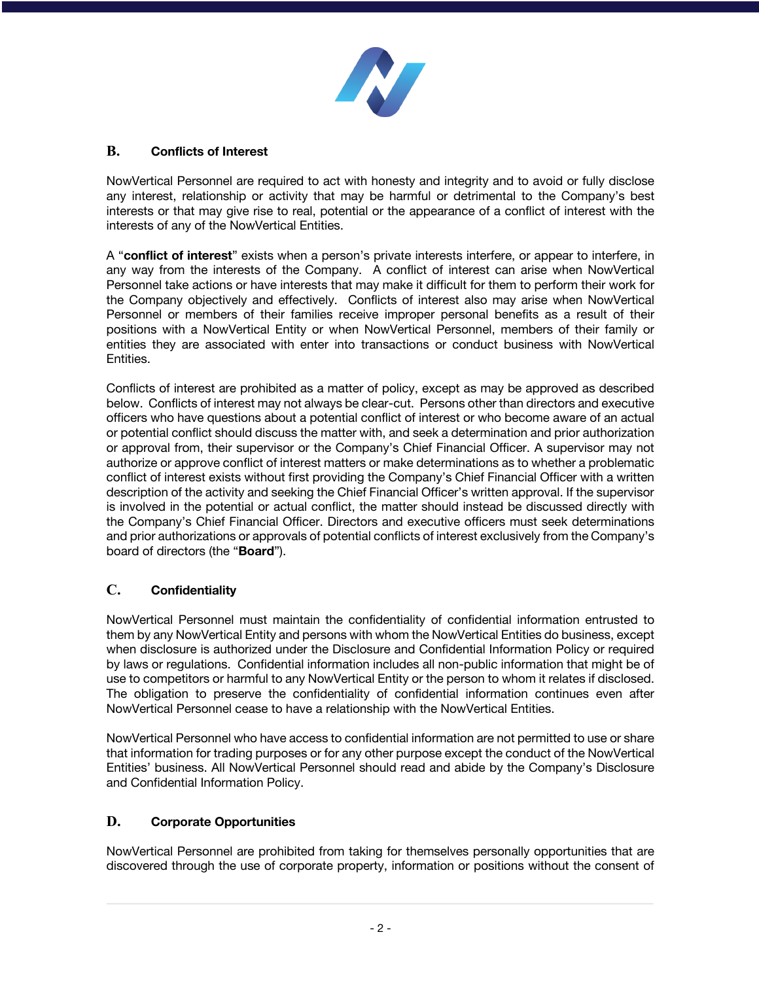

#### **B. Conflicts of Interest**

NowVertical Personnel are required to act with honesty and integrity and to avoid or fully disclose any interest, relationship or activity that may be harmful or detrimental to the Company's best interests or that may give rise to real, potential or the appearance of a conflict of interest with the interests of any of the NowVertical Entities.

A "**conflict of interest**" exists when a person's private interests interfere, or appear to interfere, in any way from the interests of the Company. A conflict of interest can arise when NowVertical Personnel take actions or have interests that may make it difficult for them to perform their work for the Company objectively and effectively. Conflicts of interest also may arise when NowVertical Personnel or members of their families receive improper personal benefits as a result of their positions with a NowVertical Entity or when NowVertical Personnel, members of their family or entities they are associated with enter into transactions or conduct business with NowVertical Entities.

Conflicts of interest are prohibited as a matter of policy, except as may be approved as described below. Conflicts of interest may not always be clear-cut. Persons other than directors and executive officers who have questions about a potential conflict of interest or who become aware of an actual or potential conflict should discuss the matter with, and seek a determination and prior authorization or approval from, their supervisor or the Company's Chief Financial Officer. A supervisor may not authorize or approve conflict of interest matters or make determinations as to whether a problematic conflict of interest exists without first providing the Company's Chief Financial Officer with a written description of the activity and seeking the Chief Financial Officer's written approval. If the supervisor is involved in the potential or actual conflict, the matter should instead be discussed directly with the Company's Chief Financial Officer. Directors and executive officers must seek determinations and prior authorizations or approvals of potential conflicts of interest exclusively from the Company's board of directors (the "**Board**").

# **C. Confidentiality**

NowVertical Personnel must maintain the confidentiality of confidential information entrusted to them by any NowVertical Entity and persons with whom the NowVertical Entities do business, except when disclosure is authorized under the Disclosure and Confidential Information Policy or required by laws or regulations. Confidential information includes all non-public information that might be of use to competitors or harmful to any NowVertical Entity or the person to whom it relates if disclosed. The obligation to preserve the confidentiality of confidential information continues even after NowVertical Personnel cease to have a relationship with the NowVertical Entities.

NowVertical Personnel who have access to confidential information are not permitted to use or share that information for trading purposes or for any other purpose except the conduct of the NowVertical Entities' business. All NowVertical Personnel should read and abide by the Company's Disclosure and Confidential Information Policy.

#### **D. Corporate Opportunities**

NowVertical Personnel are prohibited from taking for themselves personally opportunities that are discovered through the use of corporate property, information or positions without the consent of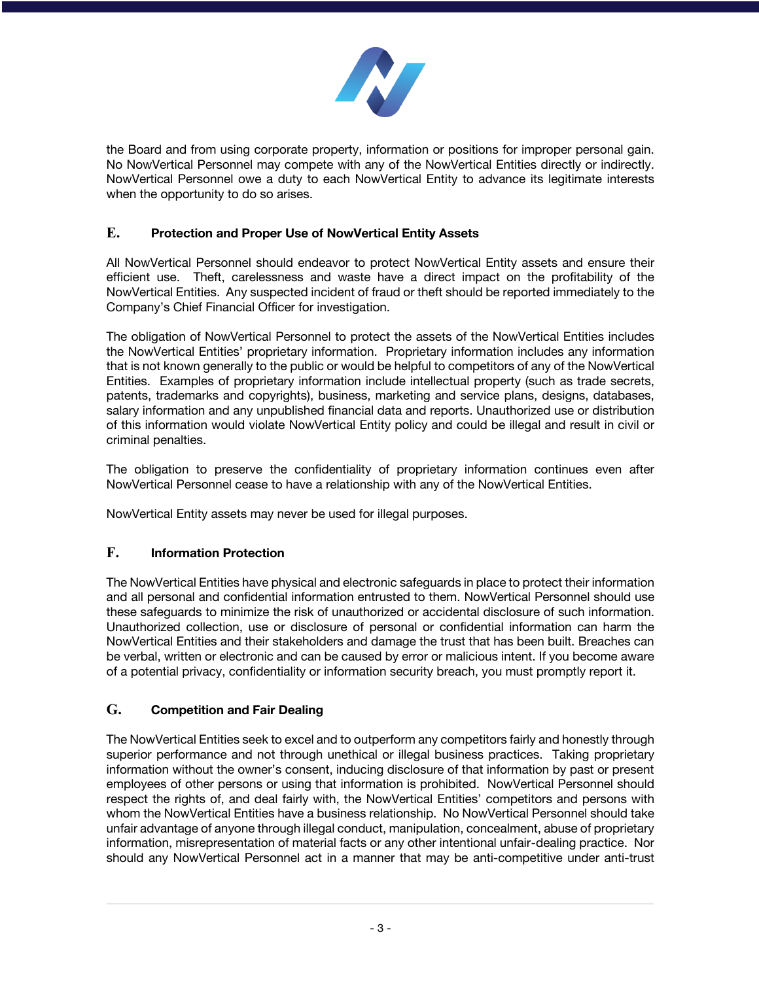

the Board and from using corporate property, information or positions for improper personal gain. No NowVertical Personnel may compete with any of the NowVertical Entities directly or indirectly. NowVertical Personnel owe a duty to each NowVertical Entity to advance its legitimate interests when the opportunity to do so arises.

# **E. Protection and Proper Use of NowVertical Entity Assets**

All NowVertical Personnel should endeavor to protect NowVertical Entity assets and ensure their efficient use. Theft, carelessness and waste have a direct impact on the profitability of the NowVertical Entities. Any suspected incident of fraud or theft should be reported immediately to the Company's Chief Financial Officer for investigation.

The obligation of NowVertical Personnel to protect the assets of the NowVertical Entities includes the NowVertical Entities' proprietary information. Proprietary information includes any information that is not known generally to the public or would be helpful to competitors of any of the NowVertical Entities. Examples of proprietary information include intellectual property (such as trade secrets, patents, trademarks and copyrights), business, marketing and service plans, designs, databases, salary information and any unpublished financial data and reports. Unauthorized use or distribution of this information would violate NowVertical Entity policy and could be illegal and result in civil or criminal penalties.

The obligation to preserve the confidentiality of proprietary information continues even after NowVertical Personnel cease to have a relationship with any of the NowVertical Entities.

NowVertical Entity assets may never be used for illegal purposes.

# **F. Information Protection**

The NowVertical Entities have physical and electronic safeguards in place to protect their information and all personal and confidential information entrusted to them. NowVertical Personnel should use these safeguards to minimize the risk of unauthorized or accidental disclosure of such information. Unauthorized collection, use or disclosure of personal or confidential information can harm the NowVertical Entities and their stakeholders and damage the trust that has been built. Breaches can be verbal, written or electronic and can be caused by error or malicious intent. If you become aware of a potential privacy, confidentiality or information security breach, you must promptly report it.

# **G. Competition and Fair Dealing**

The NowVertical Entities seek to excel and to outperform any competitors fairly and honestly through superior performance and not through unethical or illegal business practices. Taking proprietary information without the owner's consent, inducing disclosure of that information by past or present employees of other persons or using that information is prohibited. NowVertical Personnel should respect the rights of, and deal fairly with, the NowVertical Entities' competitors and persons with whom the NowVertical Entities have a business relationship. No NowVertical Personnel should take unfair advantage of anyone through illegal conduct, manipulation, concealment, abuse of proprietary information, misrepresentation of material facts or any other intentional unfair-dealing practice. Nor should any NowVertical Personnel act in a manner that may be anti-competitive under anti-trust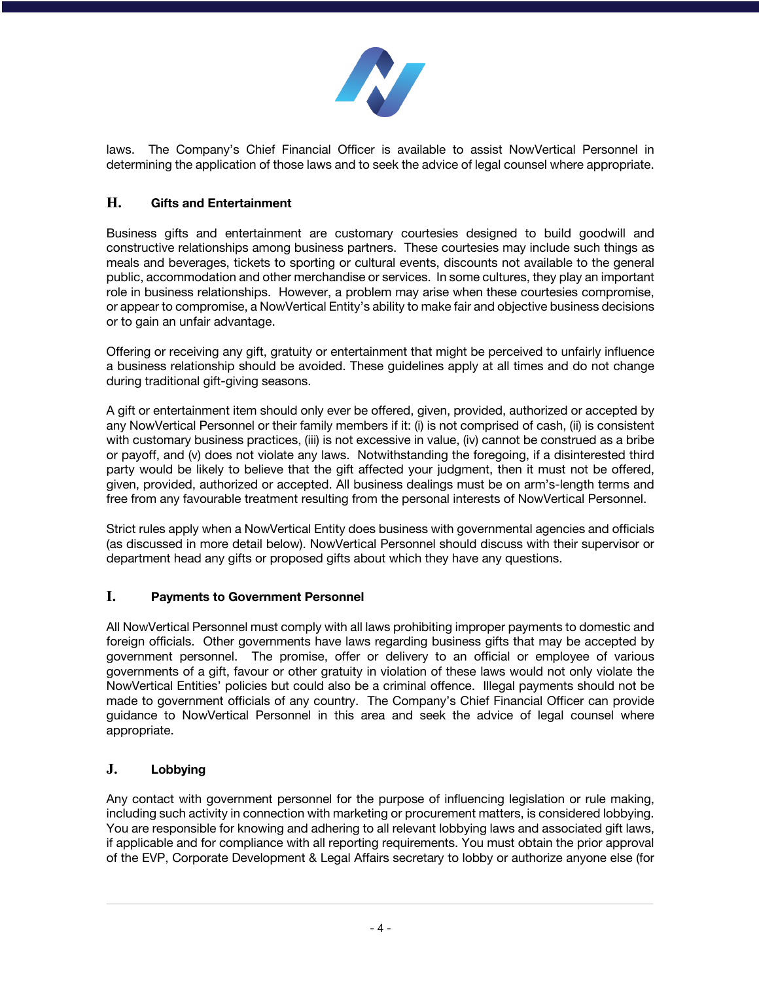

laws. The Company's Chief Financial Officer is available to assist NowVertical Personnel in determining the application of those laws and to seek the advice of legal counsel where appropriate.

# **H. Gifts and Entertainment**

Business gifts and entertainment are customary courtesies designed to build goodwill and constructive relationships among business partners. These courtesies may include such things as meals and beverages, tickets to sporting or cultural events, discounts not available to the general public, accommodation and other merchandise or services. In some cultures, they play an important role in business relationships. However, a problem may arise when these courtesies compromise, or appear to compromise, a NowVertical Entity's ability to make fair and objective business decisions or to gain an unfair advantage.

Offering or receiving any gift, gratuity or entertainment that might be perceived to unfairly influence a business relationship should be avoided. These guidelines apply at all times and do not change during traditional gift-giving seasons.

A gift or entertainment item should only ever be offered, given, provided, authorized or accepted by any NowVertical Personnel or their family members if it: (i) is not comprised of cash, (ii) is consistent with customary business practices, (iii) is not excessive in value, (iv) cannot be construed as a bribe or payoff, and (v) does not violate any laws. Notwithstanding the foregoing, if a disinterested third party would be likely to believe that the gift affected your judgment, then it must not be offered, given, provided, authorized or accepted. All business dealings must be on arm's-length terms and free from any favourable treatment resulting from the personal interests of NowVertical Personnel.

Strict rules apply when a NowVertical Entity does business with governmental agencies and officials (as discussed in more detail below). NowVertical Personnel should discuss with their supervisor or department head any gifts or proposed gifts about which they have any questions.

#### **I. Payments to Government Personnel**

All NowVertical Personnel must comply with all laws prohibiting improper payments to domestic and foreign officials. Other governments have laws regarding business gifts that may be accepted by government personnel. The promise, offer or delivery to an official or employee of various governments of a gift, favour or other gratuity in violation of these laws would not only violate the NowVertical Entities' policies but could also be a criminal offence. Illegal payments should not be made to government officials of any country. The Company's Chief Financial Officer can provide guidance to NowVertical Personnel in this area and seek the advice of legal counsel where appropriate.

# **J. Lobbying**

Any contact with government personnel for the purpose of influencing legislation or rule making, including such activity in connection with marketing or procurement matters, is considered lobbying. You are responsible for knowing and adhering to all relevant lobbying laws and associated gift laws, if applicable and for compliance with all reporting requirements. You must obtain the prior approval of the EVP, Corporate Development & Legal Affairs secretary to lobby or authorize anyone else (for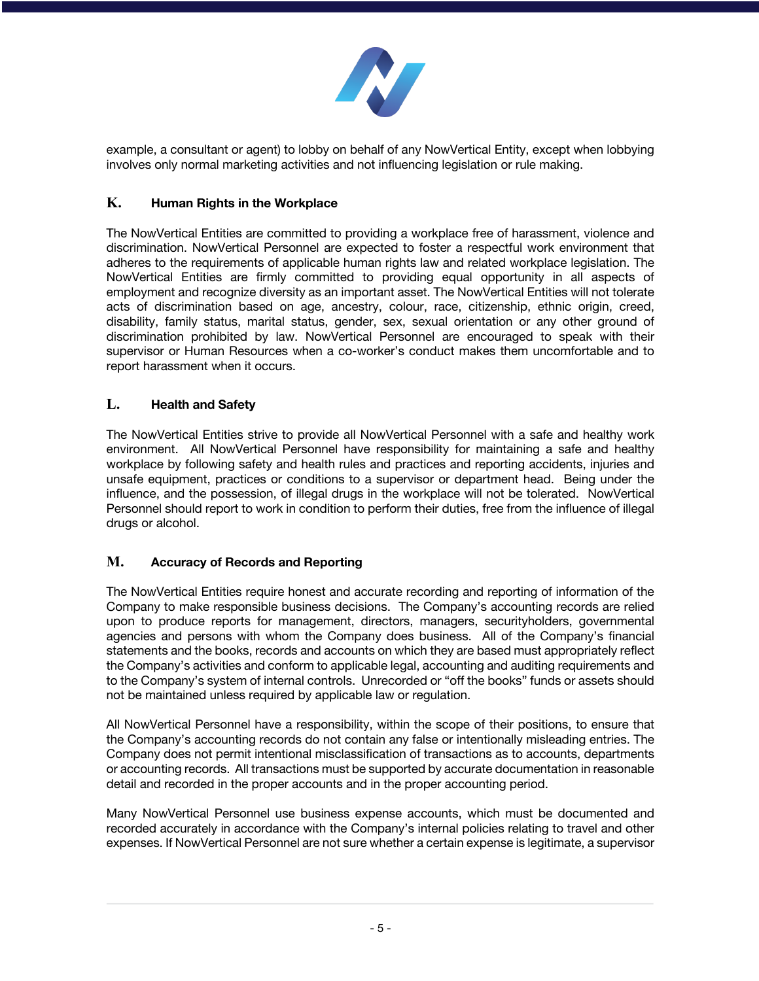

example, a consultant or agent) to lobby on behalf of any NowVertical Entity, except when lobbying involves only normal marketing activities and not influencing legislation or rule making.

#### **K. Human Rights in the Workplace**

The NowVertical Entities are committed to providing a workplace free of harassment, violence and discrimination. NowVertical Personnel are expected to foster a respectful work environment that adheres to the requirements of applicable human rights law and related workplace legislation. The NowVertical Entities are firmly committed to providing equal opportunity in all aspects of employment and recognize diversity as an important asset. The NowVertical Entities will not tolerate acts of discrimination based on age, ancestry, colour, race, citizenship, ethnic origin, creed, disability, family status, marital status, gender, sex, sexual orientation or any other ground of discrimination prohibited by law. NowVertical Personnel are encouraged to speak with their supervisor or Human Resources when a co-worker's conduct makes them uncomfortable and to report harassment when it occurs.

# **L. Health and Safety**

The NowVertical Entities strive to provide all NowVertical Personnel with a safe and healthy work environment. All NowVertical Personnel have responsibility for maintaining a safe and healthy workplace by following safety and health rules and practices and reporting accidents, injuries and unsafe equipment, practices or conditions to a supervisor or department head. Being under the influence, and the possession, of illegal drugs in the workplace will not be tolerated. NowVertical Personnel should report to work in condition to perform their duties, free from the influence of illegal drugs or alcohol.

# **M. Accuracy of Records and Reporting**

The NowVertical Entities require honest and accurate recording and reporting of information of the Company to make responsible business decisions. The Company's accounting records are relied upon to produce reports for management, directors, managers, securityholders, governmental agencies and persons with whom the Company does business. All of the Company's financial statements and the books, records and accounts on which they are based must appropriately reflect the Company's activities and conform to applicable legal, accounting and auditing requirements and to the Company's system of internal controls. Unrecorded or "off the books" funds or assets should not be maintained unless required by applicable law or regulation.

All NowVertical Personnel have a responsibility, within the scope of their positions, to ensure that the Company's accounting records do not contain any false or intentionally misleading entries. The Company does not permit intentional misclassification of transactions as to accounts, departments or accounting records. All transactions must be supported by accurate documentation in reasonable detail and recorded in the proper accounts and in the proper accounting period.

Many NowVertical Personnel use business expense accounts, which must be documented and recorded accurately in accordance with the Company's internal policies relating to travel and other expenses. If NowVertical Personnel are not sure whether a certain expense is legitimate, a supervisor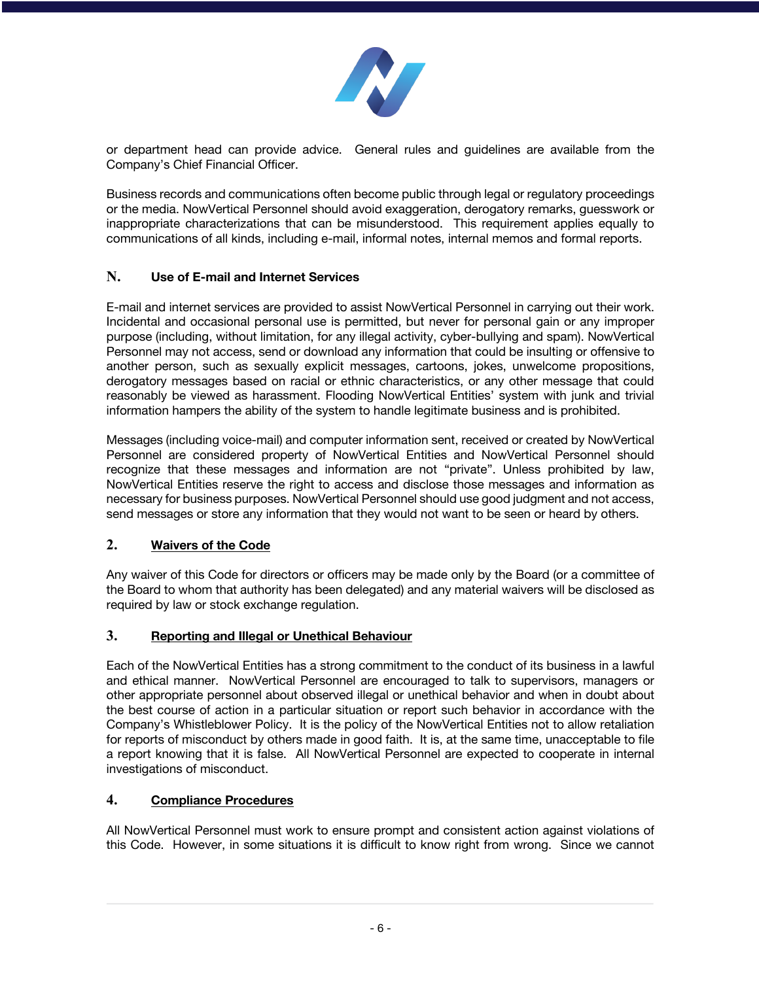

or department head can provide advice. General rules and guidelines are available from the Company's Chief Financial Officer.

Business records and communications often become public through legal or regulatory proceedings or the media. NowVertical Personnel should avoid exaggeration, derogatory remarks, guesswork or inappropriate characterizations that can be misunderstood. This requirement applies equally to communications of all kinds, including e-mail, informal notes, internal memos and formal reports.

#### **N. Use of E-mail and Internet Services**

E-mail and internet services are provided to assist NowVertical Personnel in carrying out their work. Incidental and occasional personal use is permitted, but never for personal gain or any improper purpose (including, without limitation, for any illegal activity, cyber-bullying and spam). NowVertical Personnel may not access, send or download any information that could be insulting or offensive to another person, such as sexually explicit messages, cartoons, jokes, unwelcome propositions, derogatory messages based on racial or ethnic characteristics, or any other message that could reasonably be viewed as harassment. Flooding NowVertical Entities' system with junk and trivial information hampers the ability of the system to handle legitimate business and is prohibited.

Messages (including voice-mail) and computer information sent, received or created by NowVertical Personnel are considered property of NowVertical Entities and NowVertical Personnel should recognize that these messages and information are not "private". Unless prohibited by law, NowVertical Entities reserve the right to access and disclose those messages and information as necessary for business purposes. NowVertical Personnel should use good judgment and not access, send messages or store any information that they would not want to be seen or heard by others.

#### **2. Waivers of the Code**

Any waiver of this Code for directors or officers may be made only by the Board (or a committee of the Board to whom that authority has been delegated) and any material waivers will be disclosed as required by law or stock exchange regulation.

# **3. Reporting and Illegal or Unethical Behaviour**

Each of the NowVertical Entities has a strong commitment to the conduct of its business in a lawful and ethical manner. NowVertical Personnel are encouraged to talk to supervisors, managers or other appropriate personnel about observed illegal or unethical behavior and when in doubt about the best course of action in a particular situation or report such behavior in accordance with the Company's Whistleblower Policy. It is the policy of the NowVertical Entities not to allow retaliation for reports of misconduct by others made in good faith. It is, at the same time, unacceptable to file a report knowing that it is false. All NowVertical Personnel are expected to cooperate in internal investigations of misconduct.

#### **4. Compliance Procedures**

All NowVertical Personnel must work to ensure prompt and consistent action against violations of this Code. However, in some situations it is difficult to know right from wrong. Since we cannot